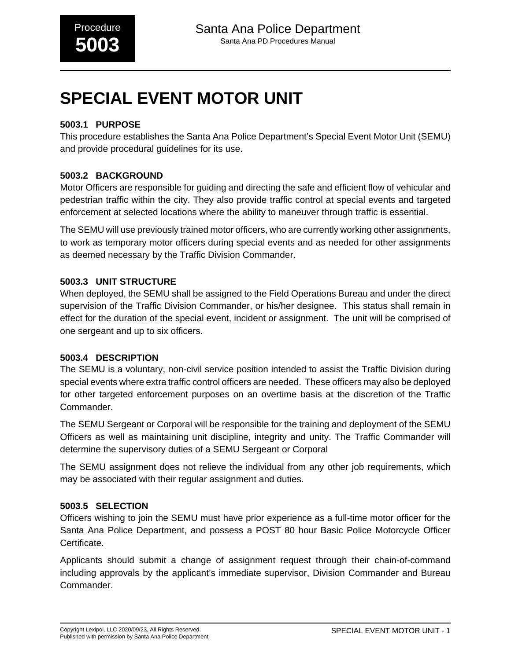# **SPECIAL EVENT MOTOR UNIT**

#### **5003.1 PURPOSE**

This procedure establishes the Santa Ana Police Department's Special Event Motor Unit (SEMU) and provide procedural guidelines for its use.

#### **5003.2 BACKGROUND**

Motor Officers are responsible for guiding and directing the safe and efficient flow of vehicular and pedestrian traffic within the city. They also provide traffic control at special events and targeted enforcement at selected locations where the ability to maneuver through traffic is essential.

The SEMU will use previously trained motor officers, who are currently working other assignments, to work as temporary motor officers during special events and as needed for other assignments as deemed necessary by the Traffic Division Commander.

#### **5003.3 UNIT STRUCTURE**

When deployed, the SEMU shall be assigned to the Field Operations Bureau and under the direct supervision of the Traffic Division Commander, or his/her designee. This status shall remain in effect for the duration of the special event, incident or assignment. The unit will be comprised of one sergeant and up to six officers.

#### **5003.4 DESCRIPTION**

The SEMU is a voluntary, non-civil service position intended to assist the Traffic Division during special events where extra traffic control officers are needed. These officers may also be deployed for other targeted enforcement purposes on an overtime basis at the discretion of the Traffic Commander.

The SEMU Sergeant or Corporal will be responsible for the training and deployment of the SEMU Officers as well as maintaining unit discipline, integrity and unity. The Traffic Commander will determine the supervisory duties of a SEMU Sergeant or Corporal

The SEMU assignment does not relieve the individual from any other job requirements, which may be associated with their regular assignment and duties.

#### **5003.5 SELECTION**

Officers wishing to join the SEMU must have prior experience as a full-time motor officer for the Santa Ana Police Department, and possess a POST 80 hour Basic Police Motorcycle Officer Certificate.

Applicants should submit a change of assignment request through their chain-of-command including approvals by the applicant's immediate supervisor, Division Commander and Bureau Commander.